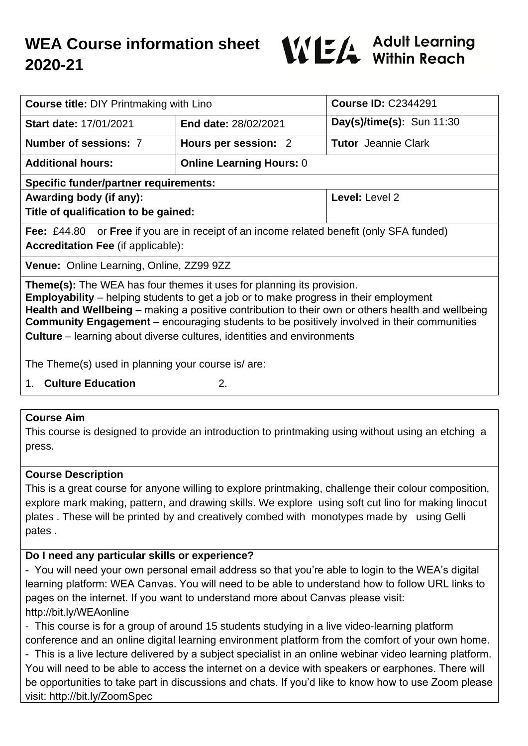# **WEA Course information sheet 2020-21**



| <b>Course title: DIY Printmaking with Lino</b>                                                                                                                                                                                                                                                                                                                                                                                                                          |                                 | <b>Course ID: C2344291</b> |
|-------------------------------------------------------------------------------------------------------------------------------------------------------------------------------------------------------------------------------------------------------------------------------------------------------------------------------------------------------------------------------------------------------------------------------------------------------------------------|---------------------------------|----------------------------|
| Start date: 17/01/2021                                                                                                                                                                                                                                                                                                                                                                                                                                                  | <b>End date: 28/02/2021</b>     | Day(s)/time(s): Sun 11:30  |
| Number of sessions: 7                                                                                                                                                                                                                                                                                                                                                                                                                                                   | Hours per session: 2            | <b>Tutor</b> Jeannie Clark |
| <b>Additional hours:</b>                                                                                                                                                                                                                                                                                                                                                                                                                                                | <b>Online Learning Hours: 0</b> |                            |
| <b>Specific funder/partner requirements:</b>                                                                                                                                                                                                                                                                                                                                                                                                                            |                                 |                            |
| Awarding body (if any):                                                                                                                                                                                                                                                                                                                                                                                                                                                 |                                 | Level: Level 2             |
| Title of qualification to be gained:                                                                                                                                                                                                                                                                                                                                                                                                                                    |                                 |                            |
| <b>Fee:</b> £44.80 or <b>Free</b> if you are in receipt of an income related benefit (only SFA funded)                                                                                                                                                                                                                                                                                                                                                                  |                                 |                            |
| <b>Accreditation Fee (if applicable):</b>                                                                                                                                                                                                                                                                                                                                                                                                                               |                                 |                            |
| <b>Venue:</b> Online Learning, Online, ZZ99 9ZZ                                                                                                                                                                                                                                                                                                                                                                                                                         |                                 |                            |
| <b>Theme(s):</b> The WEA has four themes it uses for planning its provision.<br><b>Employability</b> – helping students to get a job or to make progress in their employment<br>Health and Wellbeing – making a positive contribution to their own or others health and wellbeing<br><b>Community Engagement</b> – encouraging students to be positively involved in their communities<br><b>Culture</b> – learning about diverse cultures, identities and environments |                                 |                            |
| The Theme(s) used in planning your course is/are:                                                                                                                                                                                                                                                                                                                                                                                                                       |                                 |                            |
| <b>Culture Education</b><br>1.                                                                                                                                                                                                                                                                                                                                                                                                                                          | 2.                              |                            |

#### **Course Aim**

This course is designed to provide an introduction to printmaking using without using an etching a press.

### **Course Description**

This is a great course for anyone willing to explore printmaking, challenge their colour composition, explore mark making, pattern, and drawing skills. We explore using soft cut lino for making linocut plates . These will be printed by and creatively combed with monotypes made by using Gelli pates .

### **Do I need any particular skills or experience?**

- You will need your own personal email address so that you're able to login to the WEA's digital learning platform: WEA Canvas. You will need to be able to understand how to follow URL links to pages on the internet. If you want to understand more about Canvas please visit: http://bit.ly/WEAonline

- This course is for a group of around 15 students studying in a live video-learning platform conference and an online digital learning environment platform from the comfort of your own home.

- This is a live lecture delivered by a subject specialist in an online webinar video learning platform. You will need to be able to access the internet on a device with speakers or earphones. There will be opportunities to take part in discussions and chats. If you'd like to know how to use Zoom please visit: http://bit.ly/ZoomSpec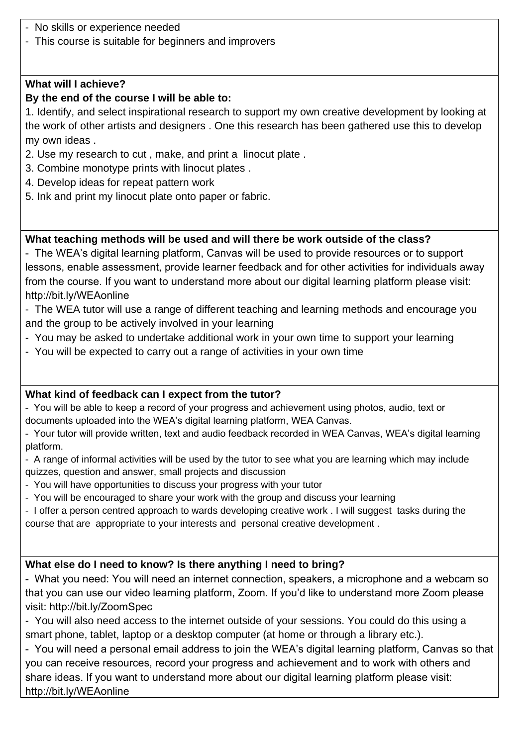- No skills or experience needed
- This course is suitable for beginners and improvers

### **What will I achieve?**

## **By the end of the course I will be able to:**

1. Identify, and select inspirational research to support my own creative development by looking at the work of other artists and designers . One this research has been gathered use this to develop my own ideas .

- 2. Use my research to cut , make, and print a linocut plate .
- 3. Combine monotype prints with linocut plates .
- 4. Develop ideas for repeat pattern work
- 5. Ink and print my linocut plate onto paper or fabric.

# **What teaching methods will be used and will there be work outside of the class?**

- The WEA's digital learning platform, Canvas will be used to provide resources or to support lessons, enable assessment, provide learner feedback and for other activities for individuals away from the course. If you want to understand more about our digital learning platform please visit: http://bit.ly/WEAonline

- The WEA tutor will use a range of different teaching and learning methods and encourage you and the group to be actively involved in your learning

- You may be asked to undertake additional work in your own time to support your learning
- You will be expected to carry out a range of activities in your own time

## **What kind of feedback can I expect from the tutor?**

- You will be able to keep a record of your progress and achievement using photos, audio, text or documents uploaded into the WEA's digital learning platform, WEA Canvas.

- Your tutor will provide written, text and audio feedback recorded in WEA Canvas, WEA's digital learning platform.

- A range of informal activities will be used by the tutor to see what you are learning which may include quizzes, question and answer, small projects and discussion
- You will have opportunities to discuss your progress with your tutor
- You will be encouraged to share your work with the group and discuss your learning

- I offer a person centred approach to wards developing creative work . I will suggest tasks during the course that are appropriate to your interests and personal creative development .

# **What else do I need to know? Is there anything I need to bring?**

- What you need: You will need an internet connection, speakers, a microphone and a webcam so that you can use our video learning platform, Zoom. If you'd like to understand more Zoom please visit: http://bit.ly/ZoomSpec

- You will also need access to the internet outside of your sessions. You could do this using a smart phone, tablet, laptop or a desktop computer (at home or through a library etc.).

- You will need a personal email address to join the WEA's digital learning platform, Canvas so that you can receive resources, record your progress and achievement and to work with others and share ideas. If you want to understand more about our digital learning platform please visit: http://bit.ly/WEAonline